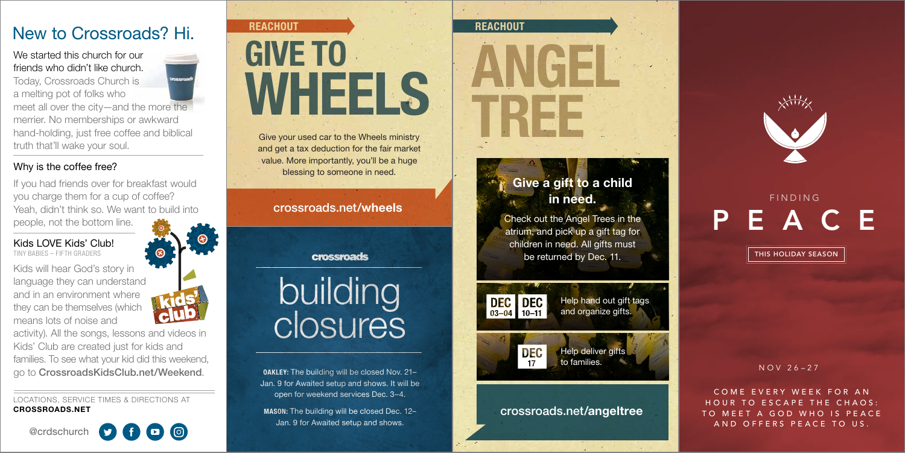# **REACHOUT** WHEELS GIVE TO



and get a tax deduction for the fair market value. More importantly, you'll be a huge blessing to someone in need.

**DAKLEY:** The building will be closed Nov. 21– Jan. 9 for Awaited setup and shows. It will be open for weekend services Dec. 3–4.

MASON: The building will be closed Dec. 12– Jan. 9 for Awaited setup and shows.

building closures

We started this church for our friends who didn't like church.

Today, Crossroads Church is a melting pot of folks who meet all over the city—and the more the merrier. No memberships or awkward hand-holding, just free coffee and biblical truth that'll wake your soul.

> Help deliver gifts to families.

### Why is the coffee free?

If you had friends over for breakfast would you charge them for a cup of coffee? Yeah, didn't think so. We want to build into people, not the bottom line.

Kids LOVE Kids' Club! TINY BABIES – FIFTH GRADERS



Kids will hear God's story in language they can understand and in an environment where they can be themselves (which means lots of noise and

activity). All the songs, lessons and videos in Kids' Club are created just for kids and families. To see what your kid did this weekend, go to CrossroadsKidsClub.net/Weekend.

LOCATIONS, SERVICE TIMES & DIRECTIONS AT CROSSROADS.NET

@crdschurch



# New to Crossroads? Hi.

# crossroads.net/angeltree

Help hand out gift tags and organize gifts.



# Give a gift to a child in need.

Check out the Angel Trees in the atrium, and pick up a gift tag for children in need. All gifts must be returned by Dec. 11.



COME EVERY WEEK FOR AN HOUR TO ESCAPE THE CHAOS: TO MEET A GOD WHO IS PEACE AND OFFERS PEACE TO US.

## crossroads.net/wheels

crossroads